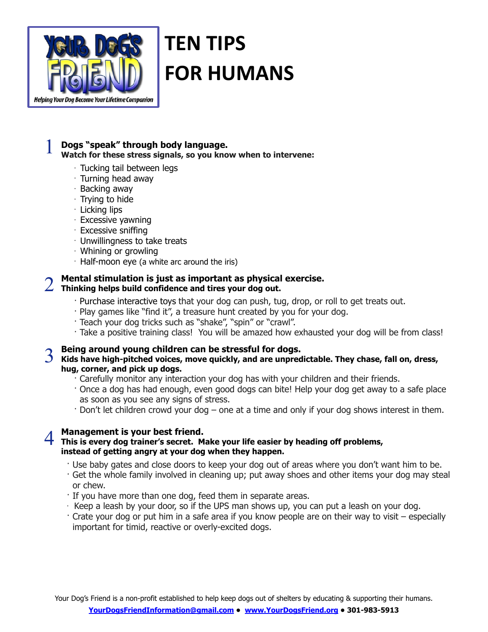

# **TEN TIPS FOR HUMANS**

### 1 **Dogs "speak" through body language. Watch for these stress signals, so you know when to intervene:**

- · Tucking tail between legs
- 
- · Turning head away · Backing away
- · Trying to hide
- · Licking lips
- 
- · Excessive yawning
- · Excessive sniffing
- $\cdot$  Unwillingness to take treats
- · Whining or growling
- $\cdot$  Half-moon eye (a white arc around the iris)

## 2 **Mental stimulation is just as important as physical exercise. Thinking helps build confidence and tires your dog out.**

- · Purchase interactive toys that your dog can push, tug, drop, or roll to get treats out.
- · Play games like "find it", a treasure hunt created by you for your dog.
- · Teach your dog tricks such as "shake", "spin" or "crawl".
- · Take a positive training class! You will be amazed how exhausted your dog will be from class!

## 3 **Being around young children can be stressful for dogs. Kids have high-pitched voices, move quickly, and are unpredictable. They chase, fall on, dress, hug, corner, and pick up dogs.**

- · Carefully monitor any interaction your dog has with your children and their friends.
- · Once a dog has had enough, even good dogs can bite! Help your dog get away to a safe place as soon as you see any signs of stress.
- · Don't let children crowd your dog one at a time and only if your dog shows interest in them.

### 4 **Management is your best friend. This is every dog trainer's secret. Make your life easier by heading off problems, instead of getting angry at your dog when they happen.**

- · Use baby gates and close doors to keep your dog out of areas where you don't want him to be.
- · Get the whole family involved in cleaning up; put away shoes and other items your dog may steal or chew.
- · If you have more than one dog, feed them in separate areas.
- $\cdot$  Keep a leash by your door, so if the UPS man shows up, you can put a leash on your dog.
- · Crate your dog or put him in a safe area if you know people are on their way to visit especially important for timid, reactive or overly-excited dogs.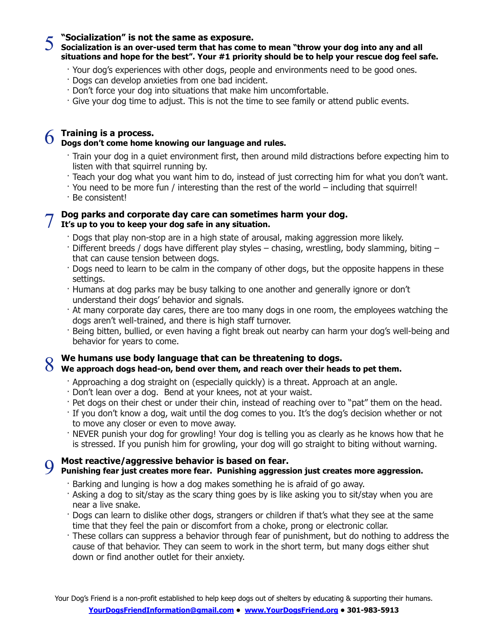5 **"Socialization" is not the same as exposure. Socialization is an over-used term that has come to mean "throw your dog into any and all situations and hope for the best". Your #1 priority should be to help your rescue dog feel safe.**

- · Your dog's experiences with other dogs, people and environments need to be good ones.
- · Dogs can develop anxieties from one bad incident.
- · Don't force your dog into situations that make him uncomfortable.
- · Give your dog time to adjust. This is not the time to see family or attend public events.

## 6 **Training is a process. Dogs don't come home knowing our language and rules.**

- · Train your dog in a quiet environment first, then around mild distractions before expecting him to listen with that squirrel running by.
- · Teach your dog what you want him to do, instead of just correcting him for what you don't want.
- · You need to be more fun / interesting than the rest of the world including that squirrel!
- · Be consistent!

### 7 **Dog parks and corporate day care can sometimes harm your dog. It's up to you to keep your dog safe in any situation.**

- · Dogs that play non-stop are in a high state of arousal, making aggression more likely.
- · Different breeds / dogs have different play styles chasing, wrestling, body slamming, biting that can cause tension between dogs.
- · Dogs need to learn to be calm in the company of other dogs, but the opposite happens in these settings.
- · Humans at dog parks may be busy talking to one another and generally ignore or don't understand their dogs' behavior and signals.
- · At many corporate day cares, there are too many dogs in one room, the employees watching the dogs aren't well-trained, and there is high staff turnover.
- · Being bitten, bullied, or even having a fight break out nearby can harm your dog's well-being and behavior for years to come.

## 8 **We humans use body language that can be threatening to dogs. We approach dogs head-on, bend over them, and reach over their heads to pet them.**

- · Approaching a dog straight on (especially quickly) is a threat. Approach at an angle.
- · Don't lean over a dog. Bend at your knees, not at your waist.
- · Pet dogs on their chest or under their chin, instead of reaching over to "pat" them on the head.
- · If you don't know a dog, wait until the dog comes to you. It's the dog's decision whether or not to move any closer or even to move away.
- · NEVER punish your dog for growling! Your dog is telling you as clearly as he knows how that he is stressed. If you punish him for growling, your dog will go straight to biting without warning.

# 9 **Most reactive/aggressive behavior is based on fear.**

### **Punishing fear just creates more fear. Punishing aggression just creates more aggression.**

- · Barking and lunging is how a dog makes something he is afraid of go away.
- · Asking a dog to sit/stay as the scary thing goes by is like asking you to sit/stay when you are near a live snake.
- · Dogs can learn to dislike other dogs, strangers or children if that's what they see at the same time that they feel the pain or discomfort from a choke, prong or electronic collar.
- · These collars can suppress a behavior through fear of punishment, but do nothing to address the cause of that behavior. They can seem to work in the short term, but many dogs either shut down or find another outlet for their anxiety.

Your Dog's Friend is a non-profit established to help keep dogs out of shelters by educating & supporting their humans. **[YourDogsFriendInformation@gmail.com](mailto:yourdogsfriendinformation@gmail.com) • [www.YourDogsFriend.org](http://www.yourdogsfriend.org) • 301-983-5913**